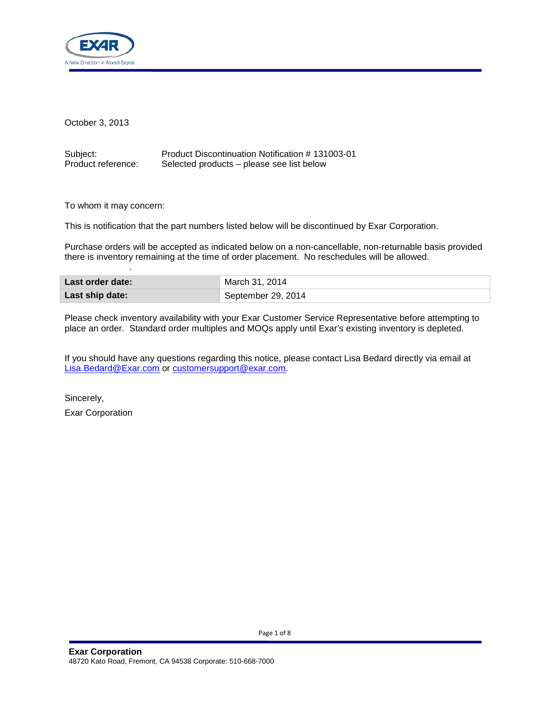

October 3, 2013

| Subject:           | Product Discontinuation Notification #131003-01 |
|--------------------|-------------------------------------------------|
| Product reference: | Selected products – please see list below       |

To whom it may concern:

.

This is notification that the part numbers listed below will be discontinued by Exar Corporation.

Purchase orders will be accepted as indicated below on a non-cancellable, non-returnable basis provided there is inventory remaining at the time of order placement. No reschedules will be allowed.

| Last order date: | March 31, 2014     |
|------------------|--------------------|
| Last ship date:  | September 29, 2014 |

Please check inventory availability with your Exar Customer Service Representative before attempting to place an order. Standard order multiples and MOQs apply until Exar's existing inventory is depleted.

If you should have any questions regarding this notice, please contact Lisa Bedard directly via email at [Lisa.Bedard@Exar.com](mailto:Lisa.Bedard@Exar.com) or [customersupport@exar.com.](mailto:customersupport@exar.com)

Sincerely, Exar Corporation

Page 1 of 8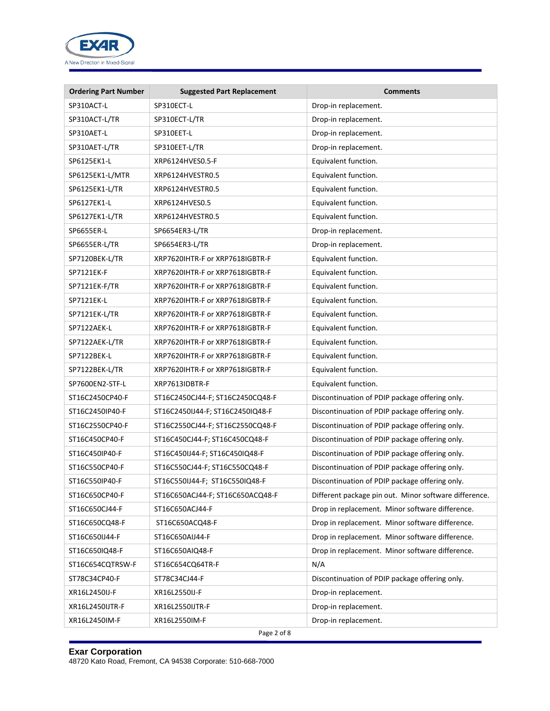

| <b>Ordering Part Number</b> | <b>Suggested Part Replacement</b> | <b>Comments</b>                                       |
|-----------------------------|-----------------------------------|-------------------------------------------------------|
| SP310ACT-L                  | SP310ECT-L                        | Drop-in replacement.                                  |
| SP310ACT-L/TR               | SP310ECT-L/TR                     | Drop-in replacement.                                  |
| SP310AET-L                  | SP310EET-L                        | Drop-in replacement.                                  |
| SP310AET-L/TR               | SP310EET-L/TR                     | Drop-in replacement.                                  |
| SP6125EK1-L                 | XRP6124HVES0.5-F                  | Equivalent function.                                  |
| SP6125EK1-L/MTR             | XRP6124HVESTR0.5                  | Equivalent function.                                  |
| SP6125EK1-L/TR              | XRP6124HVESTR0.5                  | Equivalent function.                                  |
| SP6127EK1-L                 | XRP6124HVES0.5                    | Equivalent function.                                  |
| SP6127EK1-L/TR              | XRP6124HVESTR0.5                  | Equivalent function.                                  |
| SP6655ER-L                  | SP6654ER3-L/TR                    | Drop-in replacement.                                  |
| SP6655ER-L/TR               | SP6654ER3-L/TR                    | Drop-in replacement.                                  |
| SP7120BEK-L/TR              | XRP7620IHTR-F or XRP7618IGBTR-F   | Equivalent function.                                  |
| SP7121EK-F                  | XRP7620IHTR-F or XRP7618IGBTR-F   | Equivalent function.                                  |
| SP7121EK-F/TR               | XRP7620IHTR-F or XRP7618IGBTR-F   | Equivalent function.                                  |
| SP7121EK-L                  | XRP7620IHTR-F or XRP7618IGBTR-F   | Equivalent function.                                  |
| SP7121EK-L/TR               | XRP7620IHTR-F or XRP7618IGBTR-F   | Equivalent function.                                  |
| SP7122AEK-L                 | XRP7620IHTR-F or XRP7618IGBTR-F   | Equivalent function.                                  |
| SP7122AEK-L/TR              | XRP7620IHTR-F or XRP7618IGBTR-F   | Equivalent function.                                  |
| SP7122BEK-L                 | XRP7620IHTR-F or XRP7618IGBTR-F   | Equivalent function.                                  |
| SP7122BEK-L/TR              | XRP7620IHTR-F or XRP7618IGBTR-F   | Equivalent function.                                  |
| SP7600EN2-STF-L             | XRP7613IDBTR-F                    | Equivalent function.                                  |
| ST16C2450CP40-F             | ST16C2450CJ44-F; ST16C2450CQ48-F  | Discontinuation of PDIP package offering only.        |
| ST16C2450IP40-F             | ST16C2450IJ44-F; ST16C2450IQ48-F  | Discontinuation of PDIP package offering only.        |
| ST16C2550CP40-F             | ST16C2550CJ44-F; ST16C2550CQ48-F  | Discontinuation of PDIP package offering only.        |
| ST16C450CP40-F              | ST16C450CJ44-F; ST16C450CQ48-F    | Discontinuation of PDIP package offering only.        |
| ST16C450IP40-F              | ST16C450IJ44-F; ST16C450IQ48-F    | Discontinuation of PDIP package offering only.        |
| ST16C550CP40-F              | ST16C550CJ44-F; ST16C550CQ48-F    | Discontinuation of PDIP package offering only.        |
| ST16C550IP40-F              | ST16C550IJ44-F; ST16C550IQ48-F    | Discontinuation of PDIP package offering only.        |
| ST16C650CP40-F              | ST16C650ACJ44-F; ST16C650ACQ48-F  | Different package pin out. Minor software difference. |
| ST16C650CJ44-F              | ST16C650ACJ44-F                   | Drop in replacement. Minor software difference.       |
| ST16C650CQ48-F              | ST16C650ACQ48-F                   | Drop in replacement. Minor software difference.       |
| ST16C650IJ44-F              | ST16C650AIJ44-F                   | Drop in replacement. Minor software difference.       |
| ST16C650IQ48-F              | ST16C650AIQ48-F                   | Drop in replacement. Minor software difference.       |
| ST16C654CQTRSW-F            | ST16C654CQ64TR-F                  | N/A                                                   |
| ST78C34CP40-F               | ST78C34CJ44-F                     | Discontinuation of PDIP package offering only.        |
| XR16L2450IJ-F               | XR16L2550IJ-F                     | Drop-in replacement.                                  |
| XR16L2450IJTR-F             | XR16L2550IJTR-F                   | Drop-in replacement.                                  |
| XR16L2450IM-F               | XR16L2550IM-F                     | Drop-in replacement.                                  |
|                             | Page 2 of 8                       |                                                       |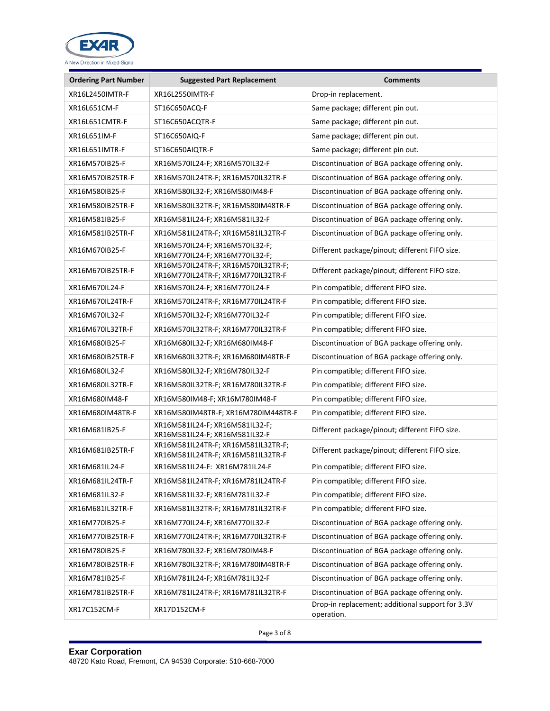

| <b>Ordering Part Number</b> | <b>Suggested Part Replacement</b>                                         | <b>Comments</b>                                                |
|-----------------------------|---------------------------------------------------------------------------|----------------------------------------------------------------|
| XR16L2450IMTR-F             | XR16L2550IMTR-F                                                           | Drop-in replacement.                                           |
| XR16L651CM-F                | ST16C650ACQ-F                                                             | Same package; different pin out.                               |
| XR16L651CMTR-F              | ST16C650ACQTR-F                                                           | Same package; different pin out.                               |
| XR16L651IM-F                | ST16C650AIQ-F                                                             | Same package; different pin out.                               |
| XR16L651IMTR-F              | ST16C650AIQTR-F                                                           | Same package; different pin out.                               |
| XR16M570IB25-F              | XR16M570IL24-F; XR16M570IL32-F                                            | Discontinuation of BGA package offering only.                  |
| XR16M570IB25TR-F            | XR16M570IL24TR-F; XR16M570IL32TR-F                                        | Discontinuation of BGA package offering only.                  |
| XR16M580IB25-F              | XR16M580IL32-F; XR16M580IM48-F                                            | Discontinuation of BGA package offering only.                  |
| XR16M580IB25TR-F            | XR16M580IL32TR-F; XR16M580IM48TR-F                                        | Discontinuation of BGA package offering only.                  |
| XR16M581IB25-F              | XR16M581IL24-F; XR16M581IL32-F                                            | Discontinuation of BGA package offering only.                  |
| XR16M581IB25TR-F            | XR16M581IL24TR-F; XR16M581IL32TR-F                                        | Discontinuation of BGA package offering only.                  |
| XR16M670IB25-F              | XR16M570IL24-F; XR16M570IL32-F;<br>XR16M770IL24-F; XR16M770IL32-F;        | Different package/pinout; different FIFO size.                 |
| XR16M670IB25TR-F            | XR16M570IL24TR-F; XR16M570IL32TR-F;<br>XR16M770IL24TR-F; XR16M770IL32TR-F | Different package/pinout; different FIFO size.                 |
| XR16M670IL24-F              | XR16M570IL24-F; XR16M770IL24-F                                            | Pin compatible; different FIFO size.                           |
| XR16M670IL24TR-F            | XR16M570IL24TR-F; XR16M770IL24TR-F                                        | Pin compatible; different FIFO size.                           |
| XR16M670IL32-F              | XR16M570IL32-F; XR16M770IL32-F                                            | Pin compatible; different FIFO size.                           |
| XR16M670IL32TR-F            | XR16M570IL32TR-F; XR16M770IL32TR-F                                        | Pin compatible; different FIFO size.                           |
| XR16M680IB25-F              | XR16M680IL32-F; XR16M680IM48-F                                            | Discontinuation of BGA package offering only.                  |
| XR16M680IB25TR-F            | XR16M680IL32TR-F; XR16M680IM48TR-F                                        | Discontinuation of BGA package offering only.                  |
| XR16M680IL32-F              | XR16M580IL32-F; XR16M780IL32-F                                            | Pin compatible; different FIFO size.                           |
| XR16M680IL32TR-F            | XR16M580IL32TR-F; XR16M780IL32TR-F                                        | Pin compatible; different FIFO size.                           |
| XR16M680IM48-F              | XR16M580IM48-F; XR16M780IM48-F                                            | Pin compatible; different FIFO size.                           |
| XR16M680IM48TR-F            | XR16M580IM48TR-F; XR16M780IM448TR-F                                       | Pin compatible; different FIFO size.                           |
| XR16M681IB25-F              | XR16M581IL24-F; XR16M581IL32-F;<br>XR16M581IL24-F; XR16M581IL32-F         | Different package/pinout; different FIFO size.                 |
| XR16M681IB25TR-F            | XR16M581IL24TR-F; XR16M581IL32TR-F;<br>XR16M581IL24TR-F; XR16M581IL32TR-F | Different package/pinout; different FIFO size.                 |
| XR16M681IL24-F              | XR16M581IL24-F: XR16M781IL24-F                                            | Pin compatible; different FIFO size.                           |
| XR16M681IL24TR-F            | XR16M581IL24TR-F; XR16M781IL24TR-F                                        | Pin compatible; different FIFO size.                           |
| XR16M681IL32-F              | XR16M581IL32-F; XR16M781IL32-F                                            | Pin compatible; different FIFO size.                           |
| XR16M681IL32TR-F            | XR16M581IL32TR-F; XR16M781IL32TR-F                                        | Pin compatible; different FIFO size.                           |
| XR16M770IB25-F              | XR16M770IL24-F; XR16M770IL32-F                                            | Discontinuation of BGA package offering only.                  |
| XR16M770IB25TR-F            | XR16M770IL24TR-F; XR16M770IL32TR-F                                        | Discontinuation of BGA package offering only.                  |
| XR16M780IB25-F              | XR16M780IL32-F; XR16M780IM48-F                                            | Discontinuation of BGA package offering only.                  |
| XR16M780IB25TR-F            | XR16M780IL32TR-F; XR16M780IM48TR-F                                        | Discontinuation of BGA package offering only.                  |
| XR16M781IB25-F              | XR16M781IL24-F; XR16M781IL32-F                                            | Discontinuation of BGA package offering only.                  |
| XR16M781IB25TR-F            | XR16M781IL24TR-F; XR16M781IL32TR-F                                        | Discontinuation of BGA package offering only.                  |
| XR17C152CM-F                | XR17D152CM-F                                                              | Drop-in replacement; additional support for 3.3V<br>operation. |

Page 3 of 8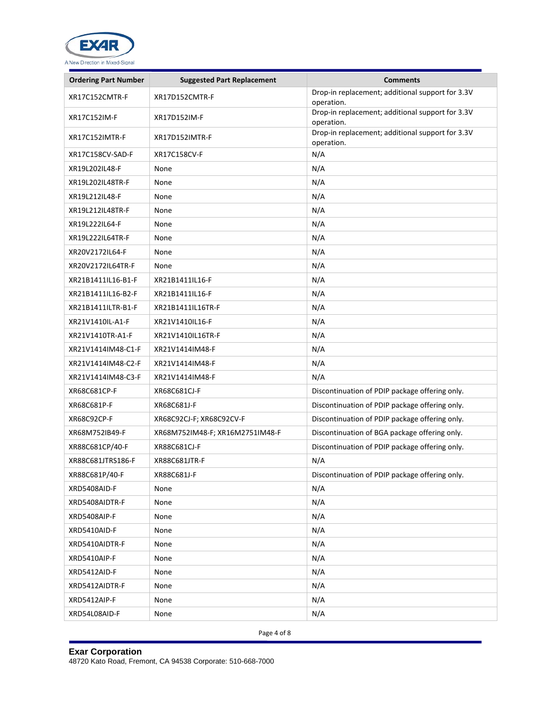

| <b>Ordering Part Number</b> | <b>Suggested Part Replacement</b> | <b>Comments</b>                                                |
|-----------------------------|-----------------------------------|----------------------------------------------------------------|
| XR17C152CMTR-F              | XR17D152CMTR-F                    | Drop-in replacement; additional support for 3.3V<br>operation. |
| XR17C152IM-F                | XR17D152IM-F                      | Drop-in replacement; additional support for 3.3V<br>operation. |
| XR17C152IMTR-F              | XR17D152IMTR-F                    | Drop-in replacement; additional support for 3.3V<br>operation. |
| XR17C158CV-SAD-F            | XR17C158CV-F                      | N/A                                                            |
| XR19L202IL48-F              | None                              | N/A                                                            |
| XR19L202IL48TR-F            | None                              | N/A                                                            |
| XR19L212IL48-F              | None                              | N/A                                                            |
| XR19L212IL48TR-F            | None                              | N/A                                                            |
| XR19L222IL64-F              | None                              | N/A                                                            |
| XR19L222IL64TR-F            | None                              | N/A                                                            |
| XR20V2172IL64-F             | None                              | N/A                                                            |
| XR20V2172IL64TR-F           | None                              | N/A                                                            |
| XR21B1411IL16-B1-F          | XR21B1411IL16-F                   | N/A                                                            |
| XR21B1411IL16-B2-F          | XR21B1411IL16-F                   | N/A                                                            |
| XR21B1411ILTR-B1-F          | XR21B1411IL16TR-F                 | N/A                                                            |
| XR21V1410IL-A1-F            | XR21V1410IL16-F                   | N/A                                                            |
| XR21V1410TR-A1-F            | XR21V1410IL16TR-F                 | N/A                                                            |
| XR21V1414IM48-C1-F          | XR21V1414IM48-F                   | N/A                                                            |
| XR21V1414IM48-C2-F          | XR21V1414IM48-F                   | N/A                                                            |
| XR21V1414IM48-C3-F          | XR21V1414IM48-F                   | N/A                                                            |
| XR68C681CP-F                | XR68C681CJ-F                      | Discontinuation of PDIP package offering only.                 |
| XR68C681P-F                 | XR68C681J-F                       | Discontinuation of PDIP package offering only.                 |
| XR68C92CP-F                 | XR68C92CJ-F; XR68C92CV-F          | Discontinuation of PDIP package offering only.                 |
| XR68M752IB49-F              | XR68M752IM48-F; XR16M2751IM48-F   | Discontinuation of BGA package offering only.                  |
| XR88C681CP/40-F             | XR88C681CJ-F                      | Discontinuation of PDIP package offering only.                 |
| XR88C681JTRS186-F           | XR88C681JTR-F                     | N/A                                                            |
| XR88C681P/40-F              | XR88C681J-F                       | Discontinuation of PDIP package offering only.                 |
| XRD5408AID-F                | None                              | N/A                                                            |
| XRD5408AIDTR-F              | None                              | N/A                                                            |
| XRD5408AIP-F                | None                              | N/A                                                            |
| XRD5410AID-F                | None                              | N/A                                                            |
| XRD5410AIDTR-F              | None                              | N/A                                                            |
| XRD5410AIP-F                | None                              | N/A                                                            |
| XRD5412AID-F                | None                              | N/A                                                            |
| XRD5412AIDTR-F              | None                              | N/A                                                            |
| XRD5412AIP-F                | None                              | N/A                                                            |
| XRD54L08AID-F               | None                              | N/A                                                            |

Page 4 of 8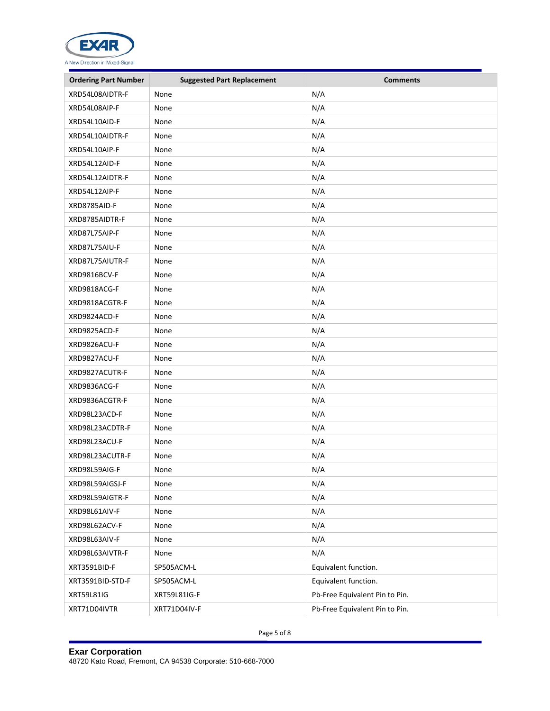

| <b>Ordering Part Number</b> | <b>Suggested Part Replacement</b> | <b>Comments</b>                |
|-----------------------------|-----------------------------------|--------------------------------|
| XRD54L08AIDTR-F             | None                              | N/A                            |
| XRD54L08AIP-F               | None                              | N/A                            |
| XRD54L10AID-F               | None                              | N/A                            |
| XRD54L10AIDTR-F             | None                              | N/A                            |
| XRD54L10AIP-F               | None                              | N/A                            |
| XRD54L12AID-F               | None                              | N/A                            |
| XRD54L12AIDTR-F             | None                              | N/A                            |
| XRD54L12AIP-F               | None                              | N/A                            |
| XRD8785AID-F                | None                              | N/A                            |
| XRD8785AIDTR-F              | None                              | N/A                            |
| XRD87L75AIP-F               | None                              | N/A                            |
| XRD87L75AIU-F               | None                              | N/A                            |
| XRD87L75AIUTR-F             | None                              | N/A                            |
| XRD9816BCV-F                | None                              | N/A                            |
| XRD9818ACG-F                | None                              | N/A                            |
| XRD9818ACGTR-F              | None                              | N/A                            |
| XRD9824ACD-F                | None                              | N/A                            |
| XRD9825ACD-F                | None                              | N/A                            |
| XRD9826ACU-F                | None                              | N/A                            |
| XRD9827ACU-F                | None                              | N/A                            |
| XRD9827ACUTR-F              | None                              | N/A                            |
| XRD9836ACG-F                | None                              | N/A                            |
| XRD9836ACGTR-F              | None                              | N/A                            |
| XRD98L23ACD-F               | None                              | N/A                            |
| XRD98L23ACDTR-F             | None                              | N/A                            |
| XRD98L23ACU-F               | None                              | N/A                            |
| XRD98L23ACUTR-F             | None                              | N/A                            |
| XRD98L59AIG-F               | None                              | N/A                            |
| XRD98L59AIGSJ-F             | None                              | N/A                            |
| XRD98L59AIGTR-F             | None                              | N/A                            |
| XRD98L61AIV-F               | None                              | N/A                            |
| XRD98L62ACV-F               | None                              | N/A                            |
| XRD98L63AIV-F               | None                              | N/A                            |
| XRD98L63AIVTR-F             | None                              | N/A                            |
| XRT3591BID-F                | SP505ACM-L                        | Equivalent function.           |
| XRT3591BID-STD-F            | SP505ACM-L                        | Equivalent function.           |
| <b>XRT59L81IG</b>           | XRT59L81IG-F                      | Pb-Free Equivalent Pin to Pin. |
| XRT71D04IVTR                | XRT71D04IV-F                      | Pb-Free Equivalent Pin to Pin. |

Page 5 of 8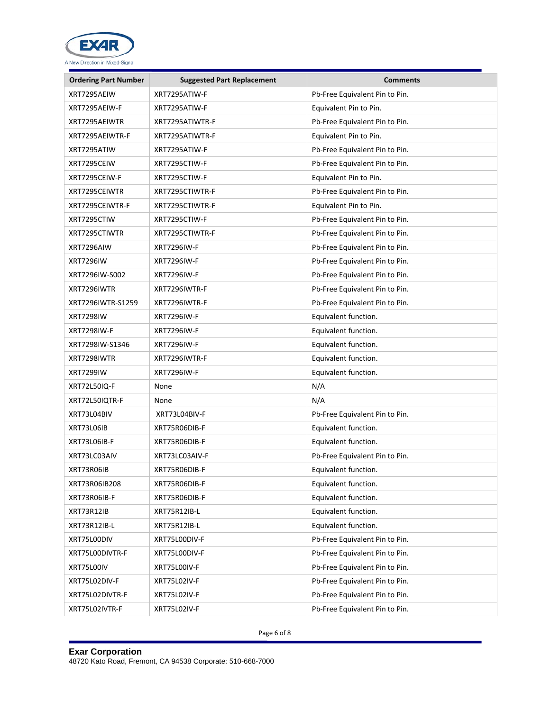

| <b>Ordering Part Number</b> | <b>Suggested Part Replacement</b> | <b>Comments</b>                |
|-----------------------------|-----------------------------------|--------------------------------|
| XRT7295AEIW                 | XRT7295ATIW-F                     | Pb-Free Equivalent Pin to Pin. |
| XRT7295AEIW-F               | XRT7295ATIW-F                     | Equivalent Pin to Pin.         |
| XRT7295AEIWTR               | XRT7295ATIWTR-F                   | Pb-Free Equivalent Pin to Pin. |
| XRT7295AEIWTR-F             | XRT7295ATIWTR-F                   | Equivalent Pin to Pin.         |
| XRT7295ATIW                 | XRT7295ATIW-F                     | Pb-Free Equivalent Pin to Pin. |
| XRT7295CEIW                 | XRT7295CTIW-F                     | Pb-Free Equivalent Pin to Pin. |
| XRT7295CEIW-F               | XRT7295CTIW-F                     | Equivalent Pin to Pin.         |
| XRT7295CEIWTR               | XRT7295CTIWTR-F                   | Pb-Free Equivalent Pin to Pin. |
| XRT7295CEIWTR-F             | XRT7295CTIWTR-F                   | Equivalent Pin to Pin.         |
| XRT7295CTIW                 | XRT7295CTIW-F                     | Pb-Free Equivalent Pin to Pin. |
| XRT7295CTIWTR               | XRT7295CTIWTR-F                   | Pb-Free Equivalent Pin to Pin. |
| XRT7296AIW                  | <b>XRT7296IW-F</b>                | Pb-Free Equivalent Pin to Pin. |
| <b>XRT7296IW</b>            | <b>XRT7296IW-F</b>                | Pb-Free Equivalent Pin to Pin. |
| XRT7296IW-S002              | <b>XRT7296IW-F</b>                | Pb-Free Equivalent Pin to Pin. |
| XRT7296IWTR                 | XRT7296IWTR-F                     | Pb-Free Equivalent Pin to Pin. |
| XRT7296IWTR-S1259           | XRT7296IWTR-F                     | Pb-Free Equivalent Pin to Pin. |
| <b>XRT7298IW</b>            | XRT7296IW-F                       | Equivalent function.           |
| XRT7298IW-F                 | <b>XRT7296IW-F</b>                | Equivalent function.           |
| XRT7298IW-S1346             | <b>XRT7296IW-F</b>                | Equivalent function.           |
| XRT7298IWTR                 | XRT7296IWTR-F                     | Equivalent function.           |
| <b>XRT7299IW</b>            | <b>XRT7296IW-F</b>                | Equivalent function.           |
| XRT72L50IQ-F                | None                              | N/A                            |
| XRT72L50IQTR-F              | None                              | N/A                            |
| XRT73L04BIV                 | XRT73L04BIV-F                     | Pb-Free Equivalent Pin to Pin. |
| XRT73L06IB                  | XRT75R06DIB-F                     | Equivalent function.           |
| XRT73L06IB-F                | XRT75R06DIB-F                     | Equivalent function.           |
| XRT73LC03AIV                | XRT73LC03AIV-F                    | Pb-Free Equivalent Pin to Pin. |
| XRT73R06IB                  | XRT75R06DIB-F                     | Equivalent function.           |
| XRT73R06IB208               | XRT75R06DIB-F                     | Equivalent function.           |
| XRT73R06IB-F                | XRT75R06DIB-F                     | Equivalent function.           |
| XRT73R12IB                  | XRT75R12IB-L                      | Equivalent function.           |
| XRT73R12IB-L                | XRT75R12IB-L                      | Equivalent function.           |
| XRT75L00DIV                 | XRT75L00DIV-F                     | Pb-Free Equivalent Pin to Pin. |
| XRT75L00DIVTR-F             | XRT75L00DIV-F                     | Pb-Free Equivalent Pin to Pin. |
| XRT75L00IV                  | XRT75L00IV-F                      | Pb-Free Equivalent Pin to Pin. |
| XRT75L02DIV-F               | XRT75L02IV-F                      | Pb-Free Equivalent Pin to Pin. |
| XRT75L02DIVTR-F             | XRT75L02IV-F                      | Pb-Free Equivalent Pin to Pin. |
| XRT75L02IVTR-F              | XRT75L02IV-F                      | Pb-Free Equivalent Pin to Pin. |

Page 6 of 8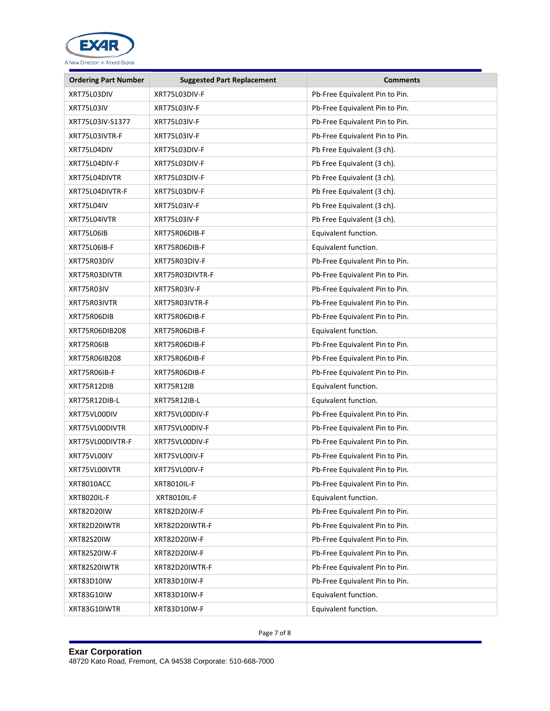

| <b>Ordering Part Number</b> | <b>Suggested Part Replacement</b> | <b>Comments</b>                |
|-----------------------------|-----------------------------------|--------------------------------|
| XRT75L03DIV                 | XRT75L03DIV-F                     | Pb-Free Equivalent Pin to Pin. |
| XRT75L03IV                  | XRT75L03IV-F                      | Pb-Free Equivalent Pin to Pin. |
| XRT75L03IV-S1377            | XRT75L03IV-F                      | Pb-Free Equivalent Pin to Pin. |
| XRT75L03IVTR-F              | XRT75L03IV-F                      | Pb-Free Equivalent Pin to Pin. |
| XRT75L04DIV                 | XRT75L03DIV-F                     | Pb Free Equivalent (3 ch).     |
| XRT75L04DIV-F               | XRT75L03DIV-F                     | Pb Free Equivalent (3 ch).     |
| XRT75L04DIVTR               | XRT75L03DIV-F                     | Pb Free Equivalent (3 ch).     |
| XRT75L04DIVTR-F             | XRT75L03DIV-F                     | Pb Free Equivalent (3 ch).     |
| XRT75L04IV                  | XRT75L03IV-F                      | Pb Free Equivalent (3 ch).     |
| XRT75L04IVTR                | XRT75L03IV-F                      | Pb Free Equivalent (3 ch).     |
| XRT75L06IB                  | XRT75R06DIB-F                     | Equivalent function.           |
| XRT75L06IB-F                | XRT75R06DIB-F                     | Equivalent function.           |
| XRT75R03DIV                 | XRT75R03DIV-F                     | Pb-Free Equivalent Pin to Pin. |
| XRT75R03DIVTR               | XRT75R03DIVTR-F                   | Pb-Free Equivalent Pin to Pin. |
| XRT75R03IV                  | XRT75R03IV-F                      | Pb-Free Equivalent Pin to Pin. |
| XRT75R03IVTR                | XRT75R03IVTR-F                    | Pb-Free Equivalent Pin to Pin. |
| XRT75R06DIB                 | XRT75R06DIB-F                     | Pb-Free Equivalent Pin to Pin. |
| XRT75R06DIB208              | XRT75R06DIB-F                     | Equivalent function.           |
| XRT75R06IB                  | XRT75R06DIB-F                     | Pb-Free Equivalent Pin to Pin. |
| XRT75R06IB208               | XRT75R06DIB-F                     | Pb-Free Equivalent Pin to Pin. |
| XRT75R06IB-F                | XRT75R06DIB-F                     | Pb-Free Equivalent Pin to Pin. |
| XRT75R12DIB                 | XRT75R12IB                        | Equivalent function.           |
| XRT75R12DIB-L               | XRT75R12IB-L                      | Equivalent function.           |
| XRT75VL00DIV                | XRT75VL00DIV-F                    | Pb-Free Equivalent Pin to Pin. |
| XRT75VL00DIVTR              | XRT75VL00DIV-F                    | Pb-Free Equivalent Pin to Pin. |
| XRT75VL00DIVTR-F            | XRT75VL00DIV-F                    | Pb-Free Equivalent Pin to Pin. |
| XRT75VL00IV                 | XRT75VL00IV-F                     | Pb-Free Equivalent Pin to Pin. |
| XRT75VL00IVTR               | XRT75VL00IV-F                     | Pb-Free Equivalent Pin to Pin. |
| XRT8010ACC                  | XRT8010IL-F                       | Pb-Free Equivalent Pin to Pin. |
| <b>XRT8020IL-F</b>          | XRT8010IL-F                       | Equivalent function.           |
| <b>XRT82D20IW</b>           | XRT82D20IW-F                      | Pb-Free Equivalent Pin to Pin. |
| XRT82D20IWTR                | XRT82D20IWTR-F                    | Pb-Free Equivalent Pin to Pin. |
| <b>XRT82S20IW</b>           | XRT82D20IW-F                      | Pb-Free Equivalent Pin to Pin. |
| <b>XRT82S20IW-F</b>         | XRT82D20IW-F                      | Pb-Free Equivalent Pin to Pin. |
| XRT82S20IWTR                | XRT82D20IWTR-F                    | Pb-Free Equivalent Pin to Pin. |
| XRT83D10IW                  | XRT83D10IW-F                      | Pb-Free Equivalent Pin to Pin. |
| XRT83G10IW                  | XRT83D10IW-F                      | Equivalent function.           |
| XRT83G10IWTR                | XRT83D10IW-F                      | Equivalent function.           |

Page 7 of 8